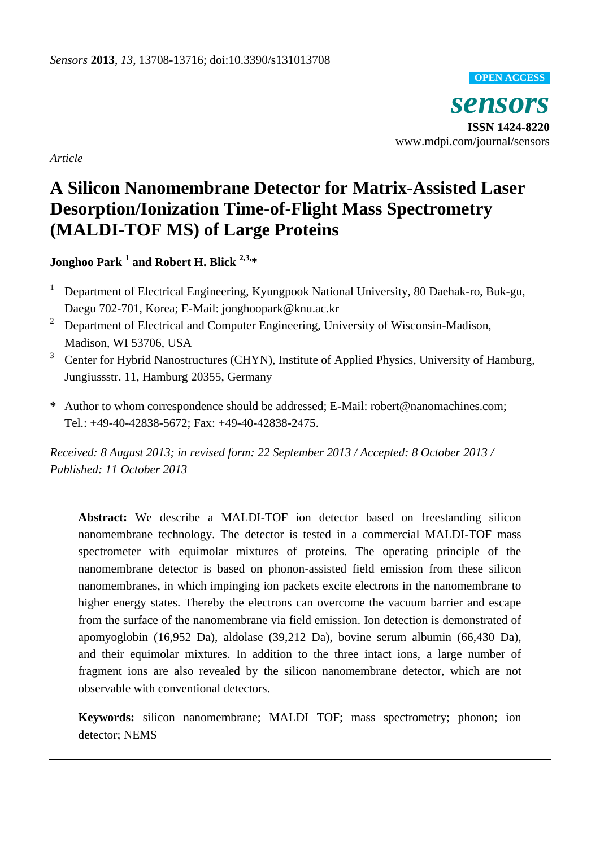**OPEN ACCESS**

*sensors* **ISSN 1424-8220** www.mdpi.com/journal/sensors

*Article*

# **A Silicon Nanomembrane Detector for Matrix-Assisted Laser Desorption/Ionization Time-of-Flight Mass Spectrometry (MALDI-TOF MS) of Large Proteins**

**Jonghoo Park <sup>1</sup> and Robert H. Blick 2,3,\***

- <sup>1</sup> Department of Electrical Engineering, Kyungpook National University, 80 Daehak-ro, Buk-gu, Daegu 702-701, Korea; E-Mail: jonghoopark@knu.ac.kr
- <sup>2</sup> Department of Electrical and Computer Engineering, University of Wisconsin-Madison, Madison, WI 53706, USA
- <sup>3</sup> Center for Hybrid Nanostructures (CHYN), Institute of Applied Physics, University of Hamburg, Jungiussstr. 11, Hamburg 20355, Germany
- **\*** Author to whom correspondence should be addressed; E-Mail: robert@nanomachines.com; Tel.: +49-40-42838-5672; Fax: +49-40-42838-2475.

*Received: 8 August 2013; in revised form: 22 September 2013 / Accepted: 8 October 2013 / Published: 11 October 2013*

**Abstract:** We describe a MALDI-TOF ion detector based on freestanding silicon nanomembrane technology. The detector is tested in a commercial MALDI-TOF mass spectrometer with equimolar mixtures of proteins. The operating principle of the nanomembrane detector is based on phonon-assisted field emission from these silicon nanomembranes, in which impinging ion packets excite electrons in the nanomembrane to higher energy states. Thereby the electrons can overcome the vacuum barrier and escape from the surface of the nanomembrane via field emission. Ion detection is demonstrated of apomyoglobin (16,952 Da), aldolase (39,212 Da), bovine serum albumin (66,430 Da), and their equimolar mixtures. In addition to the three intact ions, a large number of fragment ions are also revealed by the silicon nanomembrane detector, which are not observable with conventional detectors.

**Keywords:** silicon nanomembrane; MALDI TOF; mass spectrometry; phonon; ion detector; NEMS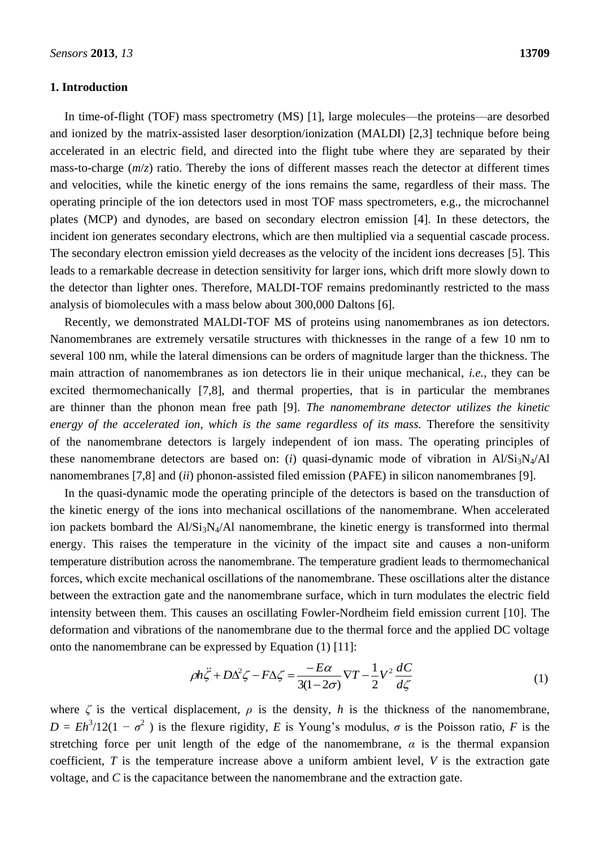#### **1. Introduction**

In time-of-flight (TOF) mass spectrometry (MS) [1], large molecules—the proteins—are desorbed and ionized by the matrix-assisted laser desorption/ionization (MALDI) [2,3] technique before being accelerated in an electric field, and directed into the flight tube where they are separated by their mass-to-charge  $(m/z)$  ratio. Thereby the ions of different masses reach the detector at different times and velocities, while the kinetic energy of the ions remains the same, regardless of their mass. The operating principle of the ion detectors used in most TOF mass spectrometers, e.g., the microchannel plates (MCP) and dynodes, are based on secondary electron emission [4]. In these detectors, the incident ion generates secondary electrons, which are then multiplied via a sequential cascade process. The secondary electron emission yield decreases as the velocity of the incident ions decreases [5]. This leads to a remarkable decrease in detection sensitivity for larger ions, which drift more slowly down to the detector than lighter ones. Therefore, MALDI-TOF remains predominantly restricted to the mass analysis of biomolecules with a mass below about 300,000 Daltons [6].

Recently, we demonstrated MALDI-TOF MS of proteins using nanomembranes as ion detectors. Nanomembranes are extremely versatile structures with thicknesses in the range of a few 10 nm to several 100 nm, while the lateral dimensions can be orders of magnitude larger than the thickness. The main attraction of nanomembranes as ion detectors lie in their unique mechanical, *i.e.*, they can be excited thermomechanically [7,8], and thermal properties, that is in particular the membranes are thinner than the phonon mean free path [9]. *The nanomembrane detector utilizes the kinetic energy of the accelerated ion, which is the same regardless of its mass.* Therefore the sensitivity of the nanomembrane detectors is largely independent of ion mass. The operating principles of these nanomembrane detectors are based on: (*i*) quasi-dynamic mode of vibration in  $Al/Si<sub>3</sub>N<sub>4</sub>/Al$ nanomembranes [7,8] and (*ii*) phonon-assisted filed emission (PAFE) in silicon nanomembranes [9].

In the quasi-dynamic mode the operating principle of the detectors is based on the transduction of the kinetic energy of the ions into mechanical oscillations of the nanomembrane. When accelerated ion packets bombard the  $Al/Si<sub>3</sub>N<sub>4</sub>/Al$  nanomembrane, the kinetic energy is transformed into thermal energy. This raises the temperature in the vicinity of the impact site and causes a non-uniform temperature distribution across the nanomembrane. The temperature gradient leads to thermomechanical forces, which excite mechanical oscillations of the nanomembrane. These oscillations alter the distance between the extraction gate and the nanomembrane surface, which in turn modulates the electric field intensity between them. This causes an oscillating Fowler-Nordheim field emission current [10]. The deformation and vibrations of the nanomembrane due to the thermal force and the applied DC voltage onto the nanomembrane can be expressed by Equation (1) [11]:

$$
\rho h \ddot{\zeta} + D \Delta^2 \zeta - F \Delta \zeta = \frac{-E\alpha}{3(1 - 2\sigma)} \nabla T - \frac{1}{2} V^2 \frac{dC}{d\zeta}
$$
(1)

where  $\zeta$  is the vertical displacement,  $\rho$  is the density,  $h$  is the thickness of the nanomembrane,  $D = Eh^3/12(1 - \sigma^2)$  is the flexure rigidity, *E* is Young's modulus,  $\sigma$  is the Poisson ratio, *F* is the stretching force per unit length of the edge of the nanomembrane,  $\alpha$  is the thermal expansion coefficient, *T* is the temperature increase above a uniform ambient level, *V* is the extraction gate voltage, and *C* is the capacitance between the nanomembrane and the extraction gate.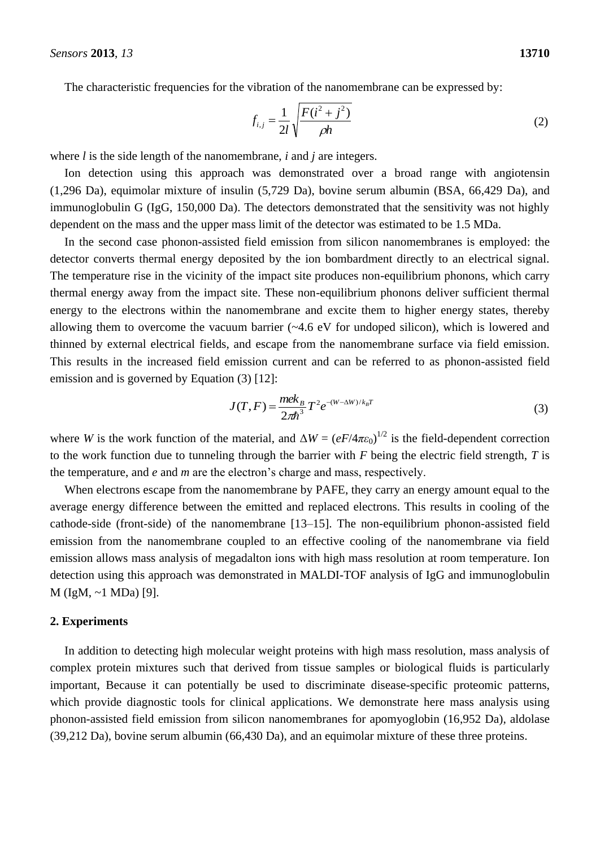The characteristic frequencies for the vibration of the nanomembrane can be expressed by:

$$
f_{i,j} = \frac{1}{2l} \sqrt{\frac{F(i^2 + j^2)}{\rho h}}
$$
 (2)

where *l* is the side length of the nanomembrane, *i* and *j* are integers.

Ion detection using this approach was demonstrated over a broad range with angiotensin (1,296 Da), equimolar mixture of insulin (5,729 Da), bovine serum albumin (BSA, 66,429 Da), and immunoglobulin G (IgG, 150,000 Da). The detectors demonstrated that the sensitivity was not highly dependent on the mass and the upper mass limit of the detector was estimated to be 1.5 MDa.

In the second case phonon-assisted field emission from silicon nanomembranes is employed: the detector converts thermal energy deposited by the ion bombardment directly to an electrical signal. The temperature rise in the vicinity of the impact site produces non-equilibrium phonons, which carry thermal energy away from the impact site. These non-equilibrium phonons deliver sufficient thermal energy to the electrons within the nanomembrane and excite them to higher energy states, thereby allowing them to overcome the vacuum barrier (~4.6 eV for undoped silicon), which is lowered and thinned by external electrical fields, and escape from the nanomembrane surface via field emission. This results in the increased field emission current and can be referred to as phonon-assisted field emission and is governed by Equation (3) [12]:

$$
J(T, F) = \frac{mek_B}{2\pi\hbar^3} T^2 e^{-(W-\Delta W)/k_B T}
$$
\n(3)

where *W* is the work function of the material, and  $\Delta W = (eF/4\pi\epsilon_0)^{1/2}$  is the field-dependent correction to the work function due to tunneling through the barrier with *F* being the electric field strength, *T* is the temperature, and *e* and *m* are the electron's charge and mass, respectively.

When electrons escape from the nanomembrane by PAFE, they carry an energy amount equal to the average energy difference between the emitted and replaced electrons. This results in cooling of the cathode-side (front-side) of the nanomembrane [13–15]. The non-equilibrium phonon-assisted field emission from the nanomembrane coupled to an effective cooling of the nanomembrane via field emission allows mass analysis of megadalton ions with high mass resolution at room temperature. Ion detection using this approach was demonstrated in MALDI-TOF analysis of IgG and immunoglobulin M (IgM, ~1 MDa) [9].

#### **2. Experiments**

In addition to detecting high molecular weight proteins with high mass resolution, mass analysis of complex protein mixtures such that derived from tissue samples or biological fluids is particularly important, Because it can potentially be used to discriminate disease-specific proteomic patterns, which provide diagnostic tools for clinical applications. We demonstrate here mass analysis using phonon-assisted field emission from silicon nanomembranes for apomyoglobin (16,952 Da), aldolase (39,212 Da), bovine serum albumin (66,430 Da), and an equimolar mixture of these three proteins.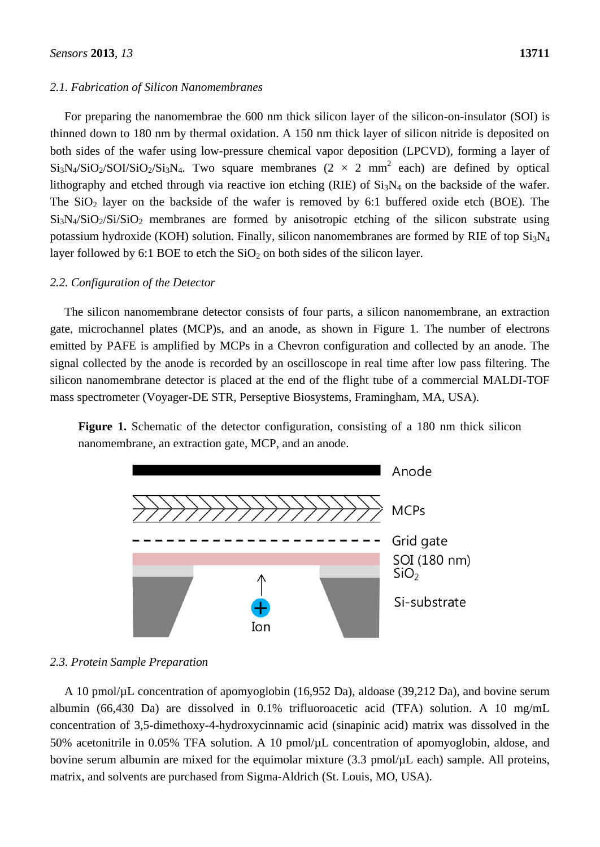#### *2.1. Fabrication of Silicon Nanomembranes*

For preparing the nanomembrae the 600 nm thick silicon layer of the silicon-on-insulator (SOI) is thinned down to 180 nm by thermal oxidation. A 150 nm thick layer of silicon nitride is deposited on both sides of the wafer using low-pressure chemical vapor deposition (LPCVD), forming a layer of  $Si_3N_4/SiO_2/Sol/SiO_2/Si_3N_4$ . Two square membranes (2  $\times$  2 mm<sup>2</sup> each) are defined by optical lithography and etched through via reactive ion etching (RIE) of  $Si<sub>3</sub>N<sub>4</sub>$  on the backside of the wafer. The  $SiO<sub>2</sub>$  layer on the backside of the wafer is removed by 6:1 buffered oxide etch (BOE). The  $Si<sub>3</sub>N<sub>4</sub>/SiO<sub>2</sub>/SiO<sub>2</sub>$  membranes are formed by anisotropic etching of the silicon substrate using potassium hydroxide (KOH) solution. Finally, silicon nanomembranes are formed by RIE of top  $Si<sub>3</sub>N<sub>4</sub>$ layer followed by 6:1 BOE to etch the  $SiO<sub>2</sub>$  on both sides of the silicon layer.

#### *2.2. Configuration of the Detector*

The silicon nanomembrane detector consists of four parts, a silicon nanomembrane, an extraction gate, microchannel plates (MCP)s, and an anode, as shown in Figure 1. The number of electrons emitted by PAFE is amplified by MCPs in a Chevron configuration and collected by an anode. The signal collected by the anode is recorded by an oscilloscope in real time after low pass filtering. The silicon nanomembrane detector is placed at the end of the flight tube of a commercial MALDI-TOF mass spectrometer (Voyager-DE STR, Perseptive Biosystems, Framingham, MA, USA).

**Figure 1.** Schematic of the detector configuration, consisting of a 180 nm thick silicon nanomembrane, an extraction gate, MCP, and an anode.



# *2.3. Protein Sample Preparation*

A 10 pmol/µL concentration of apomyoglobin (16,952 Da), aldoase (39,212 Da), and bovine serum albumin (66,430 Da) are dissolved in 0.1% trifluoroacetic acid (TFA) solution. A 10 mg/mL concentration of 3,5-dimethoxy-4-hydroxycinnamic acid (sinapinic acid) matrix was dissolved in the 50% acetonitrile in 0.05% TFA solution. A 10 pmol/µL concentration of apomyoglobin, aldose, and bovine serum albumin are mixed for the equimolar mixture  $(3.3 \text{ pmol}/\mu\text{L}$  each) sample. All proteins, matrix, and solvents are purchased from Sigma-Aldrich (St. Louis, MO, USA).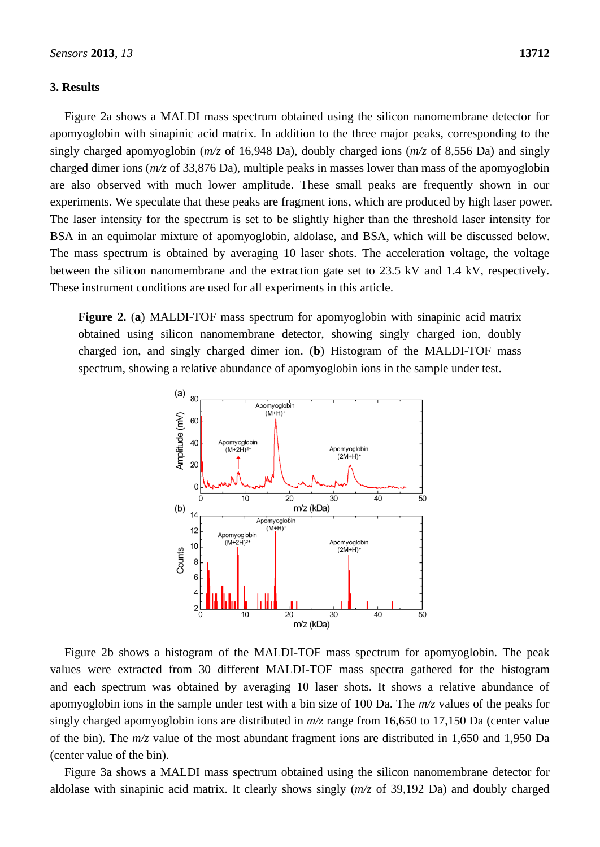# **3. Results**

Figure 2a shows a MALDI mass spectrum obtained using the silicon nanomembrane detector for apomyoglobin with sinapinic acid matrix. In addition to the three major peaks, corresponding to the singly charged apomyoglobin (*m/z* of 16,948 Da), doubly charged ions (*m/z* of 8,556 Da) and singly charged dimer ions (*m/z* of 33,876 Da), multiple peaks in masses lower than mass of the apomyoglobin are also observed with much lower amplitude. These small peaks are frequently shown in our experiments. We speculate that these peaks are fragment ions, which are produced by high laser power. The laser intensity for the spectrum is set to be slightly higher than the threshold laser intensity for BSA in an equimolar mixture of apomyoglobin, aldolase, and BSA, which will be discussed below. The mass spectrum is obtained by averaging 10 laser shots. The acceleration voltage, the voltage between the silicon nanomembrane and the extraction gate set to 23.5 kV and 1.4 kV, respectively. These instrument conditions are used for all experiments in this article.

**Figure 2.** (**a**) MALDI-TOF mass spectrum for apomyoglobin with sinapinic acid matrix obtained using silicon nanomembrane detector, showing singly charged ion, doubly charged ion, and singly charged dimer ion. (**b**) Histogram of the MALDI-TOF mass spectrum, showing a relative abundance of apomyoglobin ions in the sample under test.



Figure 2b shows a histogram of the MALDI-TOF mass spectrum for apomyoglobin. The peak values were extracted from 30 different MALDI-TOF mass spectra gathered for the histogram and each spectrum was obtained by averaging 10 laser shots. It shows a relative abundance of apomyoglobin ions in the sample under test with a bin size of 100 Da. The *m/z* values of the peaks for singly charged apomyoglobin ions are distributed in *m/z* range from 16,650 to 17,150 Da (center value of the bin). The *m/z* value of the most abundant fragment ions are distributed in 1,650 and 1,950 Da (center value of the bin).

Figure 3a shows a MALDI mass spectrum obtained using the silicon nanomembrane detector for aldolase with sinapinic acid matrix. It clearly shows singly (*m/z* of 39,192 Da) and doubly charged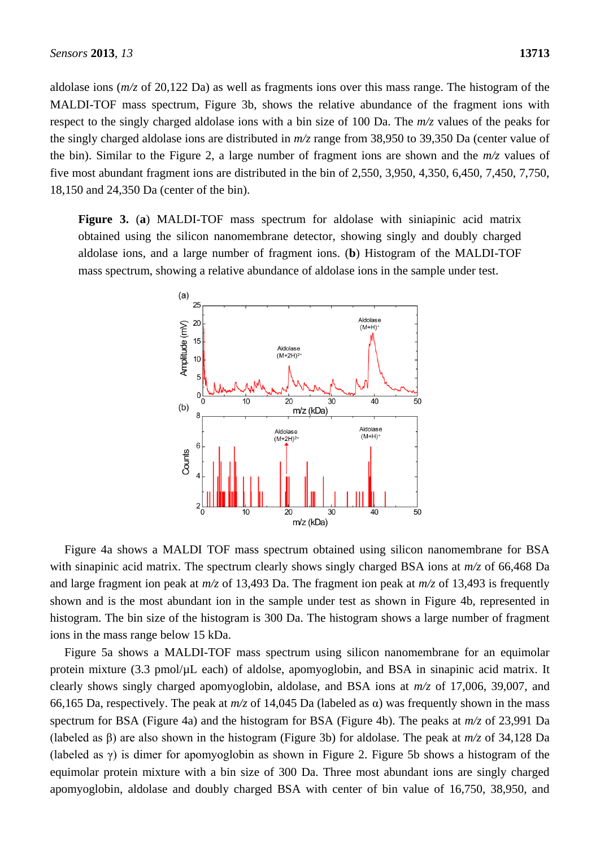aldolase ions (*m/z* of 20,122 Da) as well as fragments ions over this mass range. The histogram of the MALDI-TOF mass spectrum, Figure 3b, shows the relative abundance of the fragment ions with respect to the singly charged aldolase ions with a bin size of 100 Da. The *m/z* values of the peaks for the singly charged aldolase ions are distributed in *m/z* range from 38,950 to 39,350 Da (center value of the bin). Similar to the Figure 2, a large number of fragment ions are shown and the *m/z* values of five most abundant fragment ions are distributed in the bin of 2,550, 3,950, 4,350, 6,450, 7,450, 7,750, 18,150 and 24,350 Da (center of the bin).

**Figure 3.** (**a**) MALDI-TOF mass spectrum for aldolase with siniapinic acid matrix obtained using the silicon nanomembrane detector, showing singly and doubly charged aldolase ions, and a large number of fragment ions. (**b**) Histogram of the MALDI-TOF mass spectrum, showing a relative abundance of aldolase ions in the sample under test.



Figure 4a shows a MALDI TOF mass spectrum obtained using silicon nanomembrane for BSA with sinapinic acid matrix. The spectrum clearly shows singly charged BSA ions at *m/z* of 66,468 Da and large fragment ion peak at *m/z* of 13,493 Da. The fragment ion peak at *m/z* of 13,493 is frequently shown and is the most abundant ion in the sample under test as shown in Figure 4b, represented in histogram. The bin size of the histogram is 300 Da. The histogram shows a large number of fragment ions in the mass range below 15 kDa.

Figure 5a shows a MALDI-TOF mass spectrum using silicon nanomembrane for an equimolar protein mixture (3.3 pmol/ $\mu$ L each) of aldolse, apomyoglobin, and BSA in sinapinic acid matrix. It clearly shows singly charged apomyoglobin, aldolase, and BSA ions at *m/z* of 17,006, 39,007, and 66,165 Da, respectively. The peak at *m/z* of 14,045 Da (labeled as α) was frequently shown in the mass spectrum for BSA (Figure 4a) and the histogram for BSA (Figure 4b). The peaks at *m/z* of 23,991 Da (labeled as β) are also shown in the histogram (Figure 3b) for aldolase. The peak at *m/z* of 34,128 Da (labeled as γ) is dimer for apomyoglobin as shown in Figure 2. Figure 5b shows a histogram of the equimolar protein mixture with a bin size of 300 Da. Three most abundant ions are singly charged apomyoglobin, aldolase and doubly charged BSA with center of bin value of 16,750, 38,950, and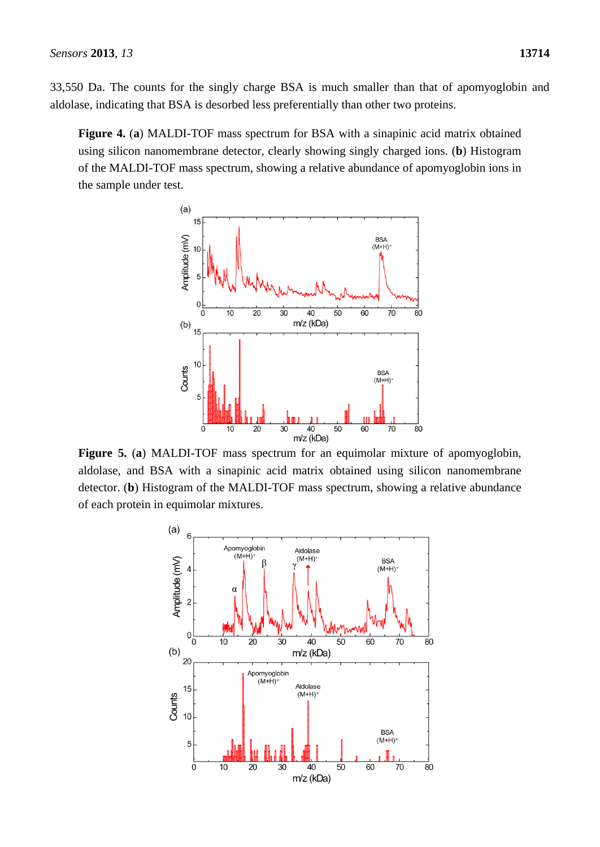33,550 Da. The counts for the singly charge BSA is much smaller than that of apomyoglobin and aldolase, indicating that BSA is desorbed less preferentially than other two proteins.

**Figure 4.** (**a**) MALDI-TOF mass spectrum for BSA with a sinapinic acid matrix obtained using silicon nanomembrane detector, clearly showing singly charged ions. (**b**) Histogram of the MALDI-TOF mass spectrum, showing a relative abundance of apomyoglobin ions in the sample under test.



**Figure 5.** (**a**) MALDI-TOF mass spectrum for an equimolar mixture of apomyoglobin, aldolase, and BSA with a sinapinic acid matrix obtained using silicon nanomembrane detector. (**b**) Histogram of the MALDI-TOF mass spectrum, showing a relative abundance of each protein in equimolar mixtures.

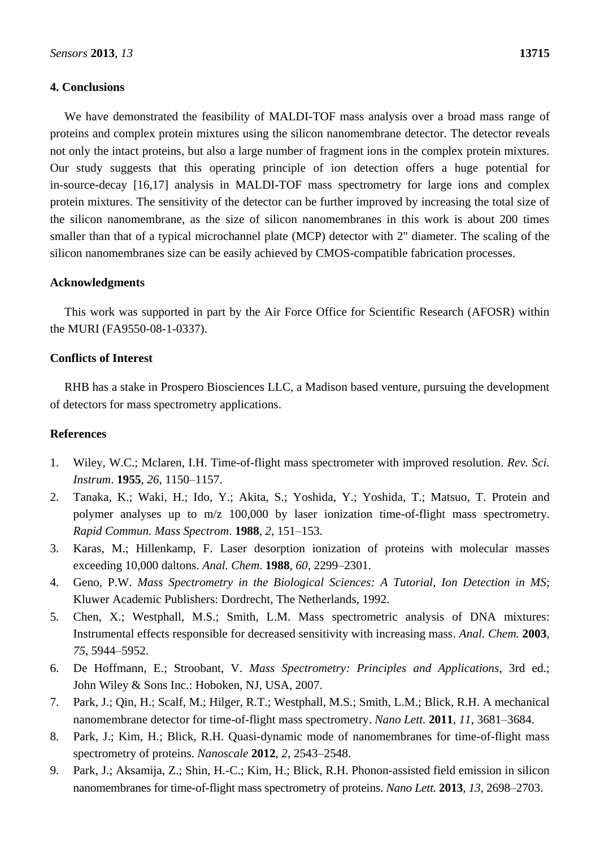# **4. Conclusions**

We have demonstrated the feasibility of MALDI-TOF mass analysis over a broad mass range of proteins and complex protein mixtures using the silicon nanomembrane detector. The detector reveals not only the intact proteins, but also a large number of fragment ions in the complex protein mixtures. Our study suggests that this operating principle of ion detection offers a huge potential for in-source-decay [16,17] analysis in MALDI-TOF mass spectrometry for large ions and complex protein mixtures. The sensitivity of the detector can be further improved by increasing the total size of the silicon nanomembrane, as the size of silicon nanomembranes in this work is about 200 times smaller than that of a typical microchannel plate (MCP) detector with 2" diameter. The scaling of the silicon nanomembranes size can be easily achieved by CMOS-compatible fabrication processes.

#### **Acknowledgments**

This work was supported in part by the Air Force Office for Scientific Research (AFOSR) within the MURI (FA9550-08-1-0337).

# **Conflicts of Interest**

RHB has a stake in Prospero Biosciences LLC, a Madison based venture, pursuing the development of detectors for mass spectrometry applications.

# **References**

- 1. Wiley, W.C.; Mclaren, I.H. Time-of-flight mass spectrometer with improved resolution. *Rev. Sci. Instrum*. **1955**, *26*, 1150–1157.
- 2. Tanaka, K.; Waki, H.; Ido, Y.; Akita, S.; Yoshida, Y.; Yoshida, T.; Matsuo, T. Protein and polymer analyses up to m/z 100,000 by laser ionization time-of-flight mass spectrometry. *Rapid Commun. Mass Spectrom*. **1988**, *2*, 151–153.
- 3. Karas, M.; Hillenkamp, F. Laser desorption ionization of proteins with molecular masses exceeding 10,000 daltons. *Anal. Chem*. **1988**, *60*, 2299–2301.
- 4. Geno, P.W. *Mass Spectrometry in the Biological Sciences: A Tutorial, Ion Detection in MS*; Kluwer Academic Publishers: Dordrecht, The Netherlands, 1992.
- 5. Chen, X.; Westphall, M.S.; Smith, L.M. Mass spectrometric analysis of DNA mixtures: Instrumental effects responsible for decreased sensitivity with increasing mass. *Anal. Chem.* **2003**, *75*, 5944–5952.
- 6. De Hoffmann, E.; Stroobant, V. *Mass Spectrometry: Principles and Applications*, 3rd ed.; John Wiley & Sons Inc.: Hoboken, NJ, USA, 2007.
- 7. Park, J.; Qin, H.; Scalf, M.; Hilger, R.T.; Westphall, M.S.; Smith, L.M.; Blick, R.H. A mechanical nanomembrane detector for time-of-flight mass spectrometry. *Nano Lett.* **2011**, *11*, 3681–3684.
- 8. Park, J.; Kim, H.; Blick, R.H. Quasi-dynamic mode of nanomembranes for time-of-flight mass spectrometry of proteins. *Nanoscale* **2012**, *2*, 2543–2548.
- 9. Park, J.; Aksamija, Z.; Shin, H.-C.; Kim, H.; Blick, R.H. Phonon-assisted field emission in silicon nanomembranes for time-of-flight mass spectrometry of proteins. *Nano Lett.* **2013**, *13*, 2698–2703.